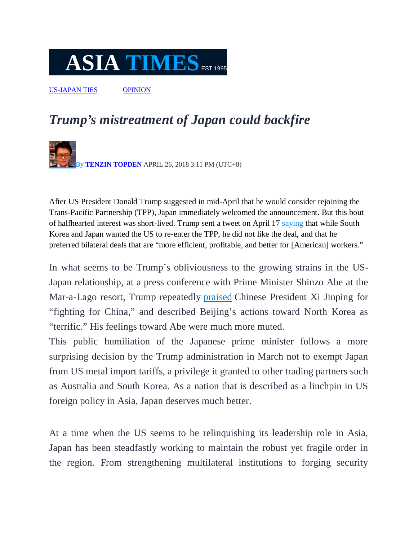## $\overline{\textbf{ASIA}}$  **TIMES** EST 1995

US-JAPAN TIES OPINION

## *Trump's mistreatment of Japan could backfire*

By **TENZIN TOPDEN** APRIL 26, 2018 3:11 PM (UTC+8)

After US President Donald Trump suggested in mid-April that he would consider rejoining the Trans-Pacific Partnership (TPP), Japan immediately welcomed the announcement. But this bout of halfhearted interest was short-lived. Trump sent a tweet on April 17 saying that while South Korea and Japan wanted the US to re-enter the TPP, he did not like the deal, and that he preferred bilateral deals that are "more efficient, profitable, and better for [American] workers."

In what seems to be Trump's obliviousness to the growing strains in the US-Japan relationship, at a press conference with Prime Minister Shinzo Abe at the Mar-a-Lago resort, Trump repeatedly praised Chinese President Xi Jinping for "fighting for China," and described Beijing's actions toward North Korea as "terrific." His feelings toward Abe were much more muted.

This public humiliation of the Japanese prime minister follows a more surprising decision by the Trump administration in March not to exempt Japan from US metal import tariffs, a privilege it granted to other trading partners such as Australia and South Korea. As a nation that is described as a linchpin in US foreign policy in Asia, Japan deserves much better.

At a time when the US seems to be relinquishing its leadership role in Asia, Japan has been steadfastly working to maintain the robust yet fragile order in the region. From strengthening multilateral institutions to forging security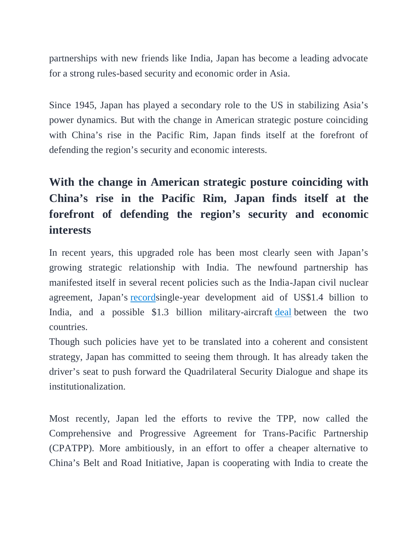partnerships with new friends like India, Japan has become a leading advocate for a strong rules-based security and economic order in Asia.

Since 1945, Japan has played a secondary role to the US in stabilizing Asia's power dynamics. But with the change in American strategic posture coinciding with China's rise in the Pacific Rim, Japan finds itself at the forefront of defending the region's security and economic interests.

## **With the change in American strategic posture coinciding with China's rise in the Pacific Rim, Japan finds itself at the forefront of defending the region's security and economic interests**

In recent years, this upgraded role has been most clearly seen with Japan's growing strategic relationship with India. The newfound partnership has manifested itself in several recent policies such as the India-Japan civil nuclear agreement, Japan's recordsingle-year development aid of US\$1.4 billion to India, and a possible \$1.3 billion military-aircraft deal between the two countries.

Though such policies have yet to be translated into a coherent and consistent strategy, Japan has committed to seeing them through. It has already taken the driver's seat to push forward the Quadrilateral Security Dialogue and shape its institutionalization.

Most recently, Japan led the efforts to revive the TPP, now called the Comprehensive and Progressive Agreement for Trans-Pacific Partnership (CPATPP). More ambitiously, in an effort to offer a cheaper alternative to China's Belt and Road Initiative, Japan is cooperating with India to create the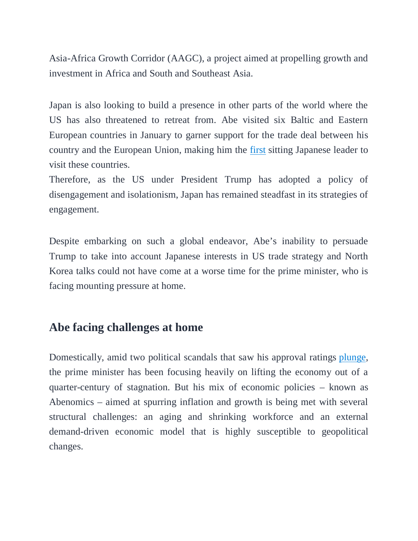Asia-Africa Growth Corridor (AAGC), a project aimed at propelling growth and investment in Africa and South and Southeast Asia.

Japan is also looking to build a presence in other parts of the world where the US has also threatened to retreat from. Abe visited six Baltic and Eastern European countries in January to garner support for the trade deal between his country and the European Union, making him the first sitting Japanese leader to visit these countries.

Therefore, as the US under President Trump has adopted a policy of disengagement and isolationism, Japan has remained steadfast in its strategies of engagement.

Despite embarking on such a global endeavor, Abe's inability to persuade Trump to take into account Japanese interests in US trade strategy and North Korea talks could not have come at a worse time for the prime minister, who is facing mounting pressure at home.

## **Abe facing challenges at home**

Domestically, amid two political scandals that saw his approval ratings plunge, the prime minister has been focusing heavily on lifting the economy out of a quarter-century of stagnation. But his mix of economic policies – known as Abenomics – aimed at spurring inflation and growth is being met with several structural challenges: an aging and shrinking workforce and an external demand-driven economic model that is highly susceptible to geopolitical changes.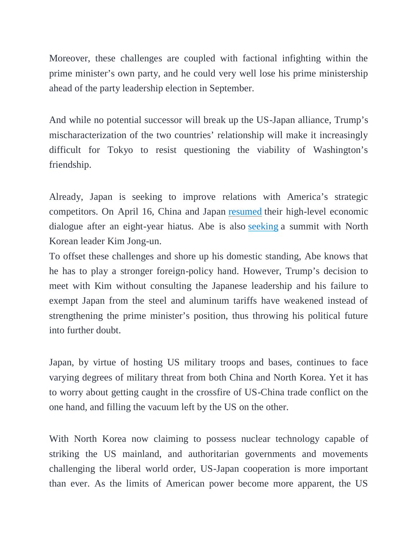Moreover, these challenges are coupled with factional infighting within the prime minister's own party, and he could very well lose his prime ministership ahead of the party leadership election in September.

And while no potential successor will break up the US-Japan alliance, Trump's mischaracterization of the two countries' relationship will make it increasingly difficult for Tokyo to resist questioning the viability of Washington's friendship.

Already, Japan is seeking to improve relations with America's strategic competitors. On April 16, China and Japan resumed their high-level economic dialogue after an eight-year hiatus. Abe is also seeking a summit with North Korean leader Kim Jong-un.

To offset these challenges and shore up his domestic standing, Abe knows that he has to play a stronger foreign-policy hand. However, Trump's decision to meet with Kim without consulting the Japanese leadership and his failure to exempt Japan from the steel and aluminum tariffs have weakened instead of strengthening the prime minister's position, thus throwing his political future into further doubt.

Japan, by virtue of hosting US military troops and bases, continues to face varying degrees of military threat from both China and North Korea. Yet it has to worry about getting caught in the crossfire of US-China trade conflict on the one hand, and filling the vacuum left by the US on the other.

With North Korea now claiming to possess nuclear technology capable of striking the US mainland, and authoritarian governments and movements challenging the liberal world order, US-Japan cooperation is more important than ever. As the limits of American power become more apparent, the US